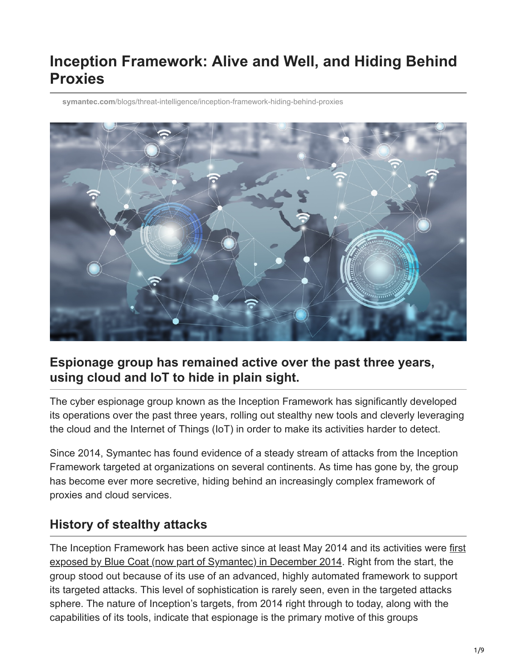# **Inception Framework: Alive and Well, and Hiding Behind Proxies**

**symantec.com**[/blogs/threat-intelligence/inception-framework-hiding-behind-proxies](https://www.symantec.com/blogs/threat-intelligence/inception-framework-hiding-behind-proxies)



#### **Espionage group has remained active over the past three years, using cloud and IoT to hide in plain sight.**

The cyber espionage group known as the Inception Framework has significantly developed its operations over the past three years, rolling out stealthy new tools and cleverly leveraging the cloud and the Internet of Things (IoT) in order to make its activities harder to detect.

Since 2014, Symantec has found evidence of a steady stream of attacks from the Inception Framework targeted at organizations on several continents. As time has gone by, the group has become ever more secretive, hiding behind an increasingly complex framework of proxies and cloud services.

## **History of stealthy attacks**

[The Inception Framework has been active since at least May 2014 and its activities were first](https://www.symantec.com/connect/blogs/blue-coat-exposes-inception-framework-very-sophisticated-layered-malware-attack-targeted-milit) exposed by Blue Coat (now part of Symantec) in December 2014. Right from the start, the group stood out because of its use of an advanced, highly automated framework to support its targeted attacks. This level of sophistication is rarely seen, even in the targeted attacks sphere. The nature of Inception's targets, from 2014 right through to today, along with the capabilities of its tools, indicate that espionage is the primary motive of this groups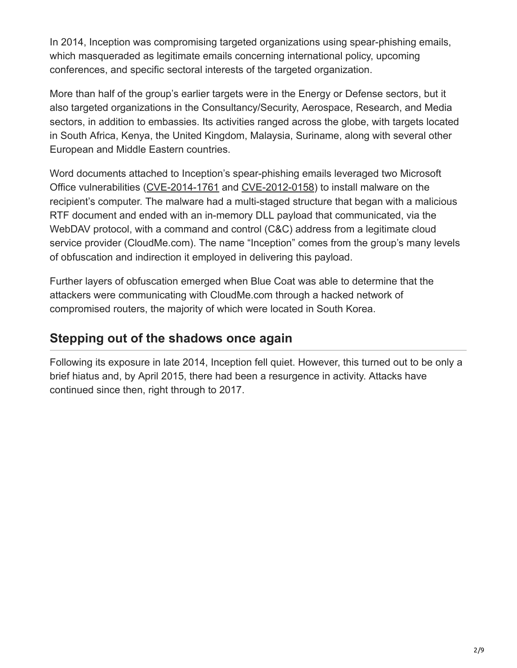In 2014, Inception was compromising targeted organizations using spear-phishing emails, which masqueraded as legitimate emails concerning international policy, upcoming conferences, and specific sectoral interests of the targeted organization.

More than half of the group's earlier targets were in the Energy or Defense sectors, but it also targeted organizations in the Consultancy/Security, Aerospace, Research, and Media sectors, in addition to embassies. Its activities ranged across the globe, with targets located in South Africa, Kenya, the United Kingdom, Malaysia, Suriname, along with several other European and Middle Eastern countries.

Word documents attached to Inception's spear-phishing emails leveraged two Microsoft Office vulnerabilities [\(CVE-2014-1761](https://cve.mitre.org/cgi-bin/cvename.cgi?name=CVE-2014-1761) and [CVE-2012-0158](http://cve.mitre.org/cgi-bin/cvename.cgi?name=cve-2012-0158)) to install malware on the recipient's computer. The malware had a multi-staged structure that began with a malicious RTF document and ended with an in-memory DLL payload that communicated, via the WebDAV protocol, with a command and control (C&C) address from a legitimate cloud service provider (CloudMe.com). The name "Inception" comes from the group's many levels of obfuscation and indirection it employed in delivering this payload.

Further layers of obfuscation emerged when Blue Coat was able to determine that the attackers were communicating with CloudMe.com through a hacked network of compromised routers, the majority of which were located in South Korea.

## **Stepping out of the shadows once again**

Following its exposure in late 2014, Inception fell quiet. However, this turned out to be only a brief hiatus and, by April 2015, there had been a resurgence in activity. Attacks have continued since then, right through to 2017.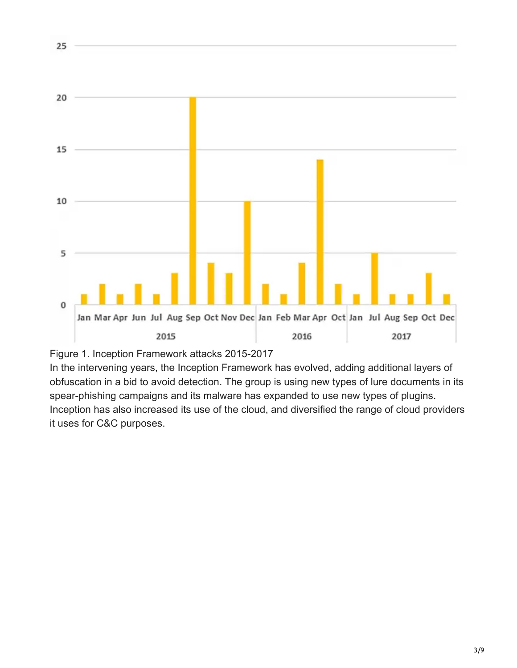



25

In the intervening years, the Inception Framework has evolved, adding additional layers of obfuscation in a bid to avoid detection. The group is using new types of lure documents in its spear-phishing campaigns and its malware has expanded to use new types of plugins. Inception has also increased its use of the cloud, and diversified the range of cloud providers it uses for C&C purposes.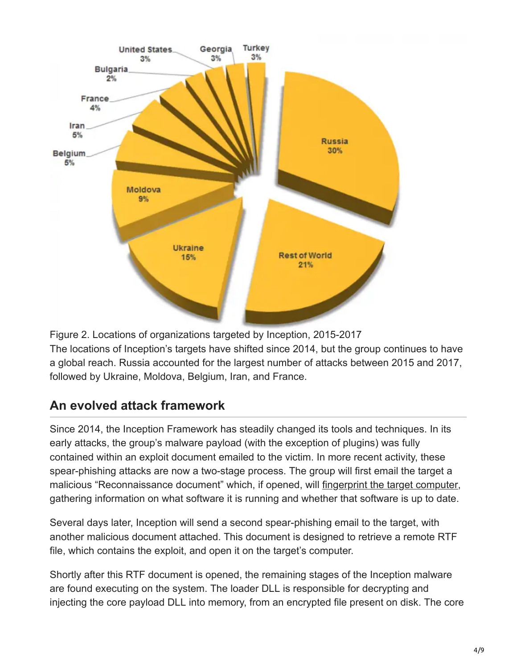

Figure 2. Locations of organizations targeted by Inception, 2015-2017 The locations of Inception's targets have shifted since 2014, but the group continues to have a global reach. Russia accounted for the largest number of attacks between 2015 and 2017, followed by Ukraine, Moldova, Belgium, Iran, and France.

## **An evolved attack framework**

Since 2014, the Inception Framework has steadily changed its tools and techniques. In its early attacks, the group's malware payload (with the exception of plugins) was fully contained within an exploit document emailed to the victim. In more recent activity, these spear-phishing attacks are now a two-stage process. The group will first email the target a malicious "Reconnaissance document" which, if opened, will [fingerprint the target computer](https://securelist.com/an-undocumented-word-feature-abused-by-attackers/81899/), gathering information on what software it is running and whether that software is up to date.

Several days later, Inception will send a second spear-phishing email to the target, with another malicious document attached. This document is designed to retrieve a remote RTF file, which contains the exploit, and open it on the target's computer.

Shortly after this RTF document is opened, the remaining stages of the Inception malware are found executing on the system. The loader DLL is responsible for decrypting and injecting the core payload DLL into memory, from an encrypted file present on disk. The core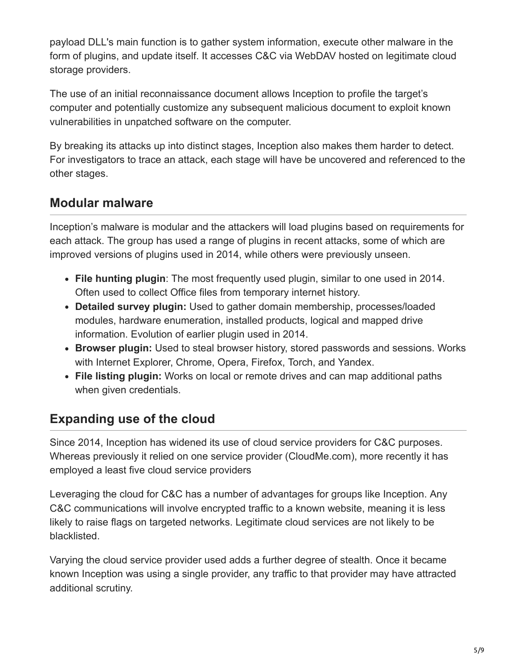payload DLL's main function is to gather system information, execute other malware in the form of plugins, and update itself. It accesses C&C via WebDAV hosted on legitimate cloud storage providers.

The use of an initial reconnaissance document allows Inception to profile the target's computer and potentially customize any subsequent malicious document to exploit known vulnerabilities in unpatched software on the computer.

By breaking its attacks up into distinct stages, Inception also makes them harder to detect. For investigators to trace an attack, each stage will have be uncovered and referenced to the other stages.

#### **Modular malware**

Inception's malware is modular and the attackers will load plugins based on requirements for each attack. The group has used a range of plugins in recent attacks, some of which are improved versions of plugins used in 2014, while others were previously unseen.

- **File hunting plugin**: The most frequently used plugin, similar to one used in 2014. Often used to collect Office files from temporary internet history.
- **Detailed survey plugin:** Used to gather domain membership, processes/loaded modules, hardware enumeration, installed products, logical and mapped drive information. Evolution of earlier plugin used in 2014.
- **Browser plugin:** Used to steal browser history, stored passwords and sessions. Works with Internet Explorer, Chrome, Opera, Firefox, Torch, and Yandex.
- **File listing plugin:** Works on local or remote drives and can map additional paths when given credentials.

#### **Expanding use of the cloud**

Since 2014, Inception has widened its use of cloud service providers for C&C purposes. Whereas previously it relied on one service provider (CloudMe.com), more recently it has employed a least five cloud service providers

Leveraging the cloud for C&C has a number of advantages for groups like Inception. Any C&C communications will involve encrypted traffic to a known website, meaning it is less likely to raise flags on targeted networks. Legitimate cloud services are not likely to be blacklisted.

Varying the cloud service provider used adds a further degree of stealth. Once it became known Inception was using a single provider, any traffic to that provider may have attracted additional scrutiny.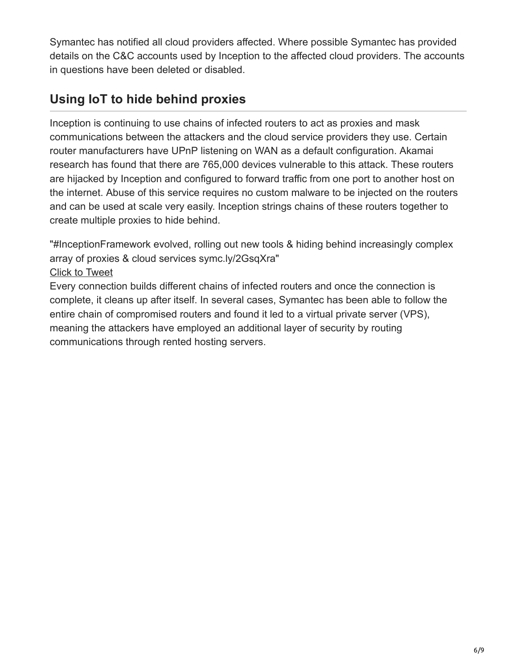Symantec has notified all cloud providers affected. Where possible Symantec has provided details on the C&C accounts used by Inception to the affected cloud providers. The accounts in questions have been deleted or disabled.

# **Using IoT to hide behind proxies**

Inception is continuing to use chains of infected routers to act as proxies and mask communications between the attackers and the cloud service providers they use. Certain router manufacturers have UPnP listening on WAN as a default configuration. Akamai research has found that there are 765,000 devices vulnerable to this attack. These routers are hijacked by Inception and configured to forward traffic from one port to another host on the internet. Abuse of this service requires no custom malware to be injected on the routers and can be used at scale very easily. Inception strings chains of these routers together to create multiple proxies to hide behind.

"#InceptionFramework evolved, rolling out new tools & hiding behind increasingly complex array of proxies & cloud services symc.ly/2GsqXra"

#### [Click to Tweet](https://twitter.com/intent/tweet?text=%23InceptionFramework%20evolved,%20rolling%20out%20new%20tools%20%26%20hiding%20behind%20increasingly%20complex%20array%20of%20proxies%20%26%20cloud%20services%20symc.ly/2GsqXra&via=threatintel&hashtags=undefined)

Every connection builds different chains of infected routers and once the connection is complete, it cleans up after itself. In several cases, Symantec has been able to follow the entire chain of compromised routers and found it led to a virtual private server (VPS), meaning the attackers have employed an additional layer of security by routing communications through rented hosting servers.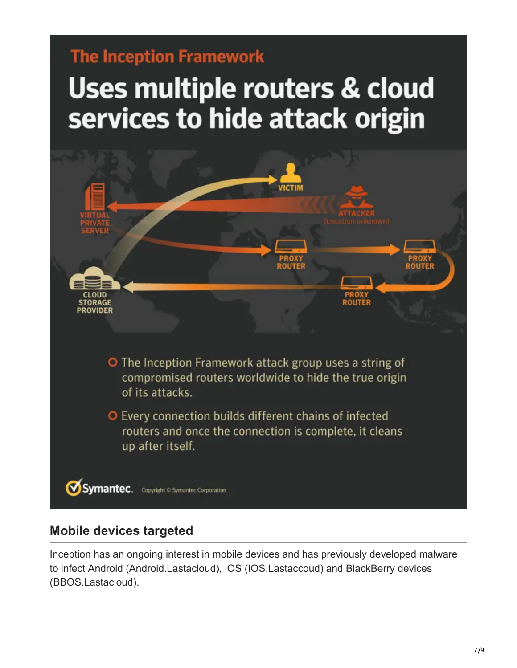# **The Inception Framework**

# Uses multiple routers & cloud services to hide attack origin



#### **Mobile devices targeted**

Inception has an ongoing interest in mobile devices and has previously developed malware to infect Android ([Android.Lastacloud\)](https://www.symantec.com/security_response/writeup.jsp?docid=2014-121216-4334-99), iOS ([IOS.Lastaccoud\)](https://www.symantec.com/security_response/writeup.jsp?docid=2014-121216-5858-99) and BlackBerry devices ([BBOS.Lastacloud\)](https://www.symantec.com/security_response/writeup.jsp?docid=2014-121913-0103-99).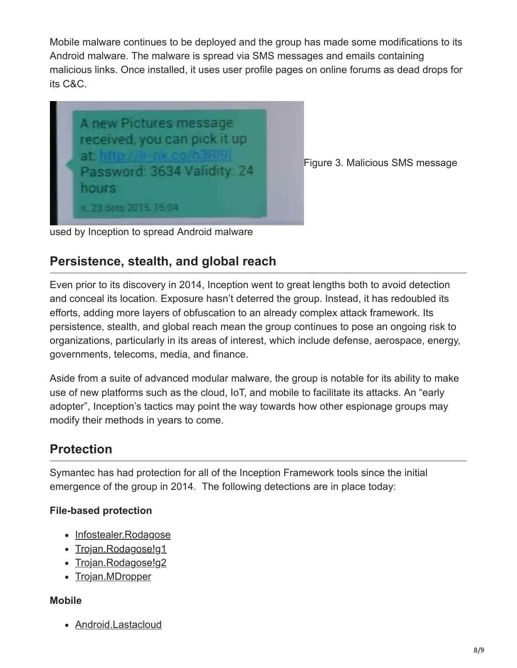Mobile malware continues to be deployed and the group has made some modifications to its Android malware. The malware is spread via SMS messages and emails containing malicious links. Once installed, it uses user profile pages on online forums as dead drops for its C&C.



Figure 3. Malicious SMS message

used by Inception to spread Android malware

#### **Persistence, stealth, and global reach**

Even prior to its discovery in 2014, Inception went to great lengths both to avoid detection and conceal its location. Exposure hasn't deterred the group. Instead, it has redoubled its efforts, adding more layers of obfuscation to an already complex attack framework. Its persistence, stealth, and global reach mean the group continues to pose an ongoing risk to organizations, particularly in its areas of interest, which include defense, aerospace, energy, governments, telecoms, media, and finance.

Aside from a suite of advanced modular malware, the group is notable for its ability to make use of new platforms such as the cloud, IoT, and mobile to facilitate its attacks. An "early adopter", Inception's tactics may point the way towards how other espionage groups may modify their methods in years to come.

## **Protection**

Symantec has had protection for all of the Inception Framework tools since the initial emergence of the group in 2014. The following detections are in place today:

#### **File-based protection**

- [Infostealer.Rodagose](https://www.symantec.com/security_response/writeup.jsp?docid=2014-120814-2005-99)
- [Trojan.Rodagose!g1](https://www.symantec.com/security_response/writeup.jsp?docid=2014-121010-5835-99)
- [Trojan.Rodagose!g2](https://www.symantec.com/security_response/writeup.jsp?docid=2017-102416-2407-99)
- [Trojan.MDropper](https://www.symantec.com/security_response/writeup.jsp?docid=2005-031911-0600-99)

#### **Mobile**

[Android.Lastacloud](https://www.symantec.com/security_response/writeup.jsp?docid=2014-121216-4334-99)